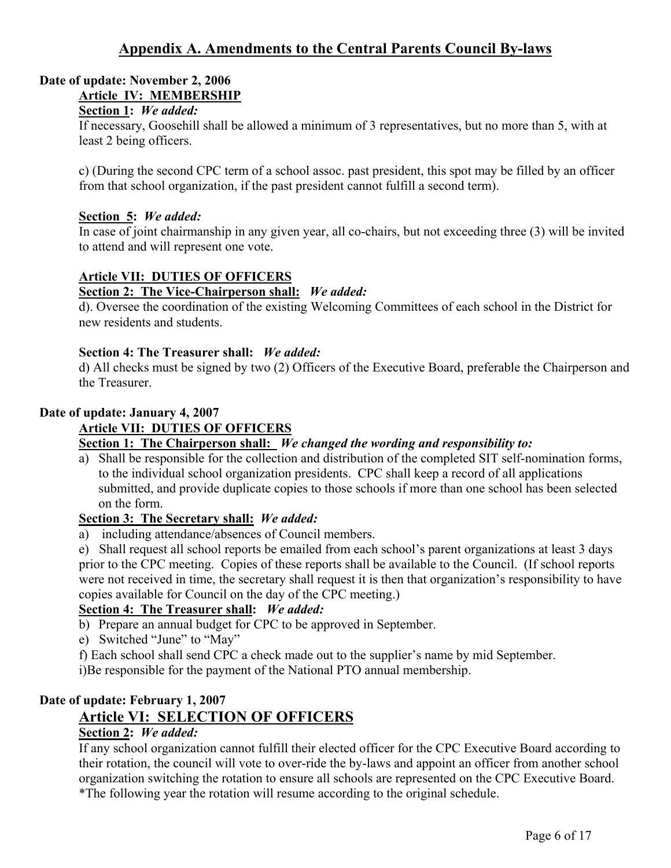# **Appendix A. Amendments to the Central Parents Council By-laws**

## **Date of update: November 2, 2006 Article IV: MEMBERSHIP**

#### **Section 1:** *We added:*

If necessary, Goosehill shall be allowed a minimum of 3 representatives, but no more than 5, with at least 2 being officers.

c) (During the second CPC term of a school assoc. past president, this spot may be filled by an officer from that school organization, if the past president cannot fulfill a second term).

#### **Section 5:** *We added:*

In case of joint chairmanship in any given year, all co-chairs, but not exceeding three (3) will be invited to attend and will represent one vote.

#### **Article VII: DUTIES OF OFFICERS**

#### **Section 2: The Vice-Chairperson shall:** *We added:*

d). Oversee the coordination of the existing Welcoming Committees of each school in the District for new residents and students.

#### **Section 4: The Treasurer shall:** *We added:*

d) All checks must be signed by two (2) Officers of the Executive Board, preferable the Chairperson and the Treasurer.

#### **Date of update: January 4, 2007**

#### **Article VII: DUTIES OF OFFICERS**

#### **Section 1: The Chairperson shall:** *We changed the wording and responsibility to:*

a) Shall be responsible for the collection and distribution of the completed SIT self-nomination forms, to the individual school organization presidents. CPC shall keep a record of all applications submitted, and provide duplicate copies to those schools if more than one school has been selected on the form.

#### **Section 3: The Secretary shall:** *We added:*

a) including attendance/absences of Council members.

e) Shall request all school reports be emailed from each school's parent organizations at least 3 days prior to the CPC meeting. Copies of these reports shall be available to the Council. (If school reports were not received in time, the secretary shall request it is then that organization's responsibility to have copies available for Council on the day of the CPC meeting.)

#### **Section 4: The Treasurer shall:** *We added:*

- b) Prepare an annual budget for CPC to be approved in September.
- e) Switched "June" to "May"
- f) Each school shall send CPC a check made out to the supplier's name by mid September.

i)Be responsible for the payment of the National PTO annual membership.

#### **Date of update: February 1, 2007**

# **Article VI: SELECTION OF OFFICERS**

#### **Section 2:** *We added:*

If any school organization cannot fulfill their elected officer for the CPC Executive Board according to their rotation, the council will vote to over-ride the by-laws and appoint an officer from another school organization switching the rotation to ensure all schools are represented on the CPC Executive Board. \*The following year the rotation will resume according to the original schedule.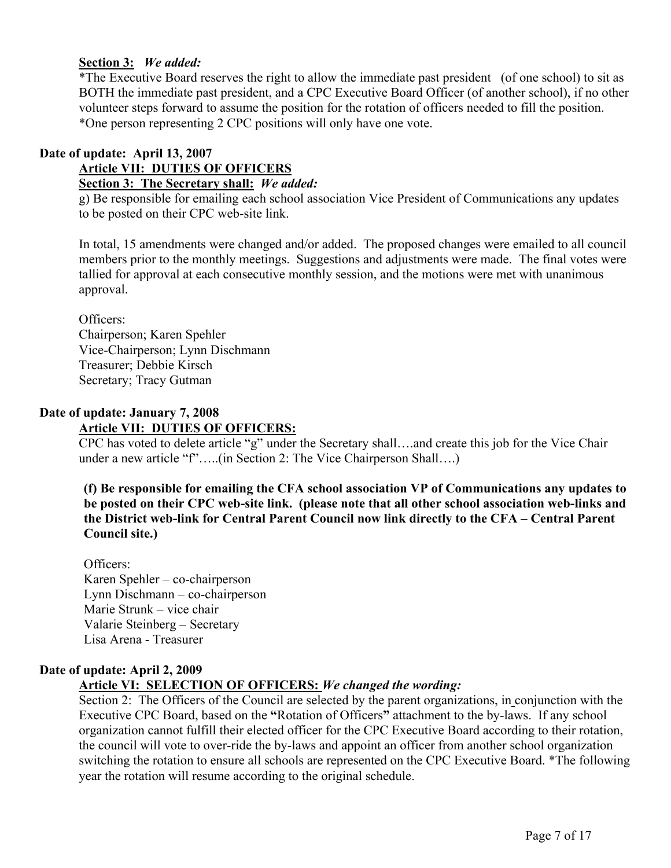# **Section 3:** *We added:*

\*The Executive Board reserves the right to allow the immediate past president (of one school) to sit as BOTH the immediate past president, and a CPC Executive Board Officer (of another school), if no other volunteer steps forward to assume the position for the rotation of officers needed to fill the position. \*One person representing 2 CPC positions will only have one vote.

## **Date of update: April 13, 2007 Article VII: DUTIES OF OFFICERS Section 3: The Secretary shall:** *We added:*

g) Be responsible for emailing each school association Vice President of Communications any updates to be posted on their CPC web-site link.

In total, 15 amendments were changed and/or added. The proposed changes were emailed to all council members prior to the monthly meetings. Suggestions and adjustments were made. The final votes were tallied for approval at each consecutive monthly session, and the motions were met with unanimous approval.

Officers: Chairperson; Karen Spehler Vice-Chairperson; Lynn Dischmann Treasurer; Debbie Kirsch Secretary; Tracy Gutman

## **Date of update: January 7, 2008 Article VII: DUTIES OF OFFICERS:**

CPC has voted to delete article "g" under the Secretary shall….and create this job for the Vice Chair under a new article "f".....(in Section 2: The Vice Chairperson Shall....)

**(f) Be responsible for emailing the CFA school association VP of Communications any updates to be posted on their CPC web-site link. (please note that all other school association web-links and the District web-link for Central Parent Council now link directly to the CFA – Central Parent Council site.)**

Officers: Karen Spehler – co-chairperson Lynn Dischmann – co-chairperson Marie Strunk – vice chair Valarie Steinberg – Secretary Lisa Arena - Treasurer

# **Date of update: April 2, 2009**

# **Article VI: SELECTION OF OFFICERS:** *We changed the wording:*

Section 2: The Officers of the Council are selected by the parent organizations, in conjunction with the Executive CPC Board, based on the **"**Rotation of Officers**"** attachment to the by-laws. If any school organization cannot fulfill their elected officer for the CPC Executive Board according to their rotation, the council will vote to over-ride the by-laws and appoint an officer from another school organization switching the rotation to ensure all schools are represented on the CPC Executive Board. \*The following year the rotation will resume according to the original schedule.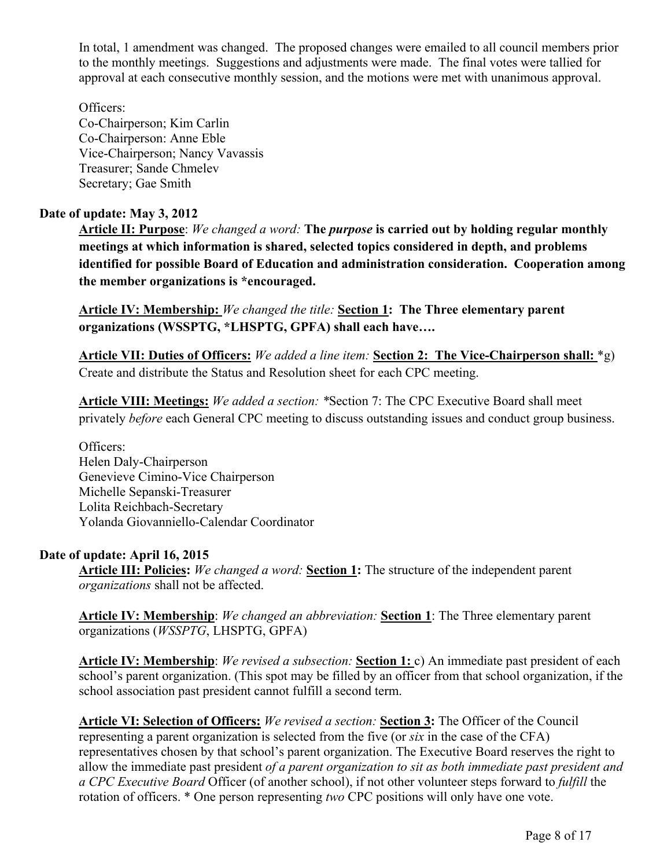In total, 1 amendment was changed. The proposed changes were emailed to all council members prior to the monthly meetings. Suggestions and adjustments were made. The final votes were tallied for approval at each consecutive monthly session, and the motions were met with unanimous approval.

Officers: Co-Chairperson; Kim Carlin Co-Chairperson: Anne Eble Vice-Chairperson; Nancy Vavassis Treasurer; Sande Chmelev Secretary; Gae Smith

## **Date of update: May 3, 2012**

**Article II: Purpose**: *We changed a word:* **The** *purpose* **is carried out by holding regular monthly meetings at which information is shared, selected topics considered in depth, and problems identified for possible Board of Education and administration consideration. Cooperation among the member organizations is \*encouraged.**

**Article IV: Membership:** *We changed the title:* **Section 1: The Three elementary parent organizations (WSSPTG, \*LHSPTG, GPFA) shall each have….**

**Article VII: Duties of Officers:** *We added a line item:* **Section 2: The Vice-Chairperson shall:** \*g) Create and distribute the Status and Resolution sheet for each CPC meeting.

**Article VIII: Meetings:** *We added a section: \**Section 7: The CPC Executive Board shall meet privately *before* each General CPC meeting to discuss outstanding issues and conduct group business.

Officers: Helen Daly-Chairperson Genevieve Cimino-Vice Chairperson Michelle Sepanski-Treasurer Lolita Reichbach-Secretary Yolanda Giovanniello-Calendar Coordinator

#### **Date of update: April 16, 2015**

**Article III: Policies:** *We changed a word:* **Section 1:** The structure of the independent parent *organizations* shall not be affected.

**Article IV: Membership**: *We changed an abbreviation:* **Section 1**: The Three elementary parent organizations (*WSSPTG*, LHSPTG, GPFA)

**Article IV: Membership**: *We revised a subsection:* **Section 1:** c) An immediate past president of each school's parent organization. (This spot may be filled by an officer from that school organization, if the school association past president cannot fulfill a second term.

**Article VI: Selection of Officers:** *We revised a section:* **Section 3:** The Officer of the Council representing a parent organization is selected from the five (or *six* in the case of the CFA) representatives chosen by that school's parent organization. The Executive Board reserves the right to allow the immediate past president *of a parent organization to sit as both immediate past president and a CPC Executive Board* Officer (of another school), if not other volunteer steps forward to *fulfill* the rotation of officers. \* One person representing *two* CPC positions will only have one vote.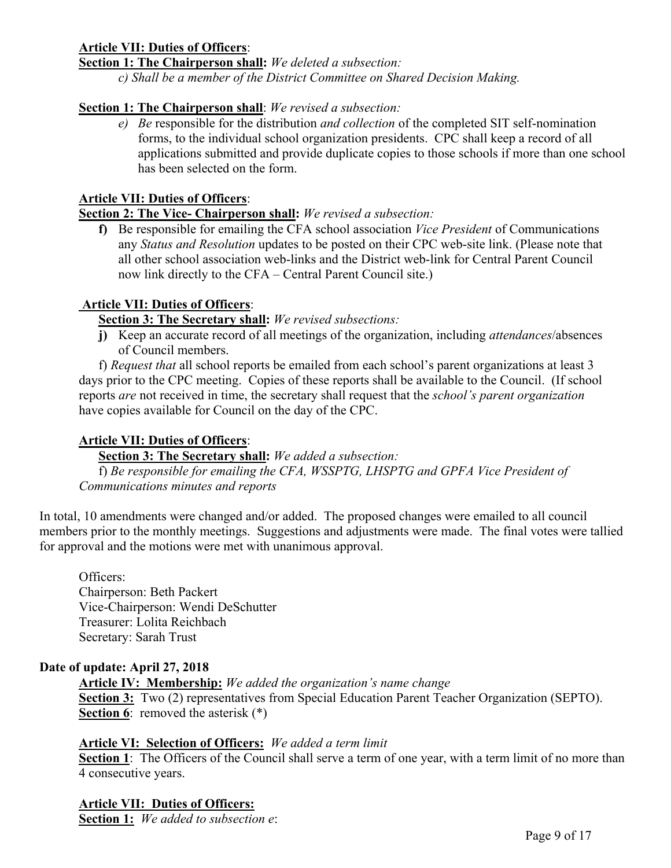## **Article VII: Duties of Officers**:

**Section 1: The Chairperson shall:** *We deleted a subsection:* 

*c) Shall be a member of the District Committee on Shared Decision Making.* 

### **Section 1: The Chairperson shall**: *We revised a subsection:*

*e) Be* responsible for the distribution *and collection* of the completed SIT self-nomination forms, to the individual school organization presidents. CPC shall keep a record of all applications submitted and provide duplicate copies to those schools if more than one school has been selected on the form.

#### **Article VII: Duties of Officers**:

## **Section 2: The Vice- Chairperson shall:** *We revised a subsection:*

**f)** Be responsible for emailing the CFA school association *Vice President* of Communications any *Status and Resolution* updates to be posted on their CPC web-site link. (Please note that all other school association web-links and the District web-link for Central Parent Council now link directly to the CFA – Central Parent Council site.)

### **Article VII: Duties of Officers**:

### **Section 3: The Secretary shall:** *We revised subsections:*

**j)** Keep an accurate record of all meetings of the organization, including *attendances*/absences of Council members.

f) *Request that* all school reports be emailed from each school's parent organizations at least 3 days prior to the CPC meeting. Copies of these reports shall be available to the Council. (If school reports *are* not received in time, the secretary shall request that the *school's parent organization* have copies available for Council on the day of the CPC.

#### **Article VII: Duties of Officers**:

**Section 3: The Secretary shall:** *We added a subsection:* 

f) *Be responsible for emailing the CFA, WSSPTG, LHSPTG and GPFA Vice President of Communications minutes and reports* 

In total, 10 amendments were changed and/or added. The proposed changes were emailed to all council members prior to the monthly meetings. Suggestions and adjustments were made. The final votes were tallied for approval and the motions were met with unanimous approval.

Officers: Chairperson: Beth Packert Vice-Chairperson: Wendi DeSchutter Treasurer: Lolita Reichbach Secretary: Sarah Trust

#### **Date of update: April 27, 2018**

**Article IV: Membership:** *We added the organization's name change* **Section 3:** Two (2) representatives from Special Education Parent Teacher Organization (SEPTO). **Section 6:** removed the asterisk  $(*)$ 

#### **Article VI: Selection of Officers:** *We added a term limit*

**Section 1**: The Officers of the Council shall serve a term of one year, with a term limit of no more than 4 consecutive years.

**Article VII: Duties of Officers: Section 1:** *We added to subsection e*: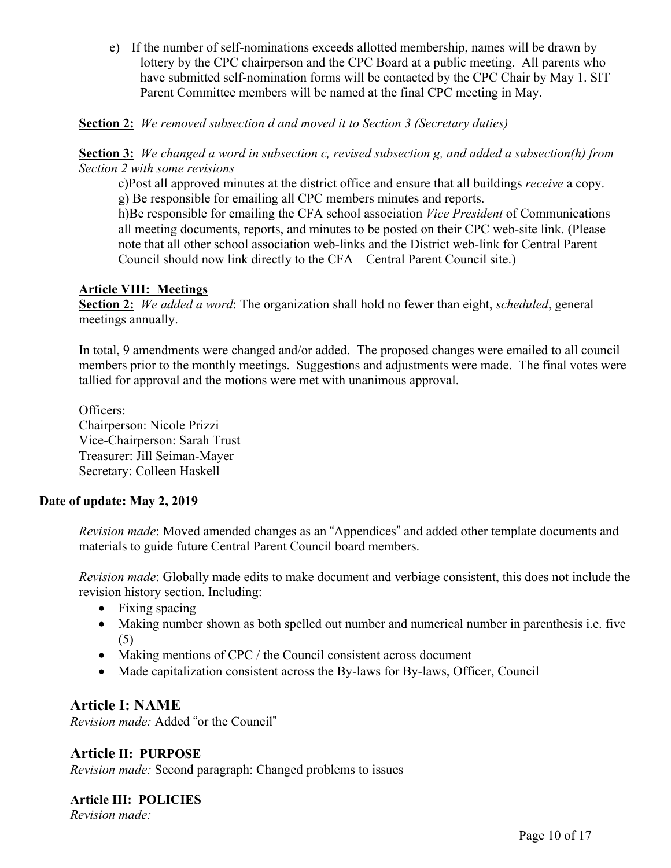e) If the number of self-nominations exceeds allotted membership, names will be drawn by lottery by the CPC chairperson and the CPC Board at a public meeting. All parents who have submitted self-nomination forms will be contacted by the CPC Chair by May 1. SIT Parent Committee members will be named at the final CPC meeting in May.

**Section 2:** *We removed subsection d and moved it to Section 3 (Secretary duties)*

**Section 3:** *We changed a word in subsection c, revised subsection g, and added a subsection(h) from Section 2 with some revisions*

c)Post all approved minutes at the district office and ensure that all buildings *receive* a copy. g) Be responsible for emailing all CPC members minutes and reports.

h)Be responsible for emailing the CFA school association *Vice President* of Communications all meeting documents, reports, and minutes to be posted on their CPC web-site link. (Please note that all other school association web-links and the District web-link for Central Parent Council should now link directly to the CFA – Central Parent Council site.)

### **Article VIII: Meetings**

**Section 2:** *We added a word*: The organization shall hold no fewer than eight, *scheduled*, general meetings annually.

In total, 9 amendments were changed and/or added. The proposed changes were emailed to all council members prior to the monthly meetings. Suggestions and adjustments were made. The final votes were tallied for approval and the motions were met with unanimous approval.

Officers: Chairperson: Nicole Prizzi Vice-Chairperson: Sarah Trust Treasurer: Jill Seiman-Mayer Secretary: Colleen Haskell

# **Date of update: May 2, 2019**

*Revision made*: Moved amended changes as an "Appendices" and added other template documents and materials to guide future Central Parent Council board members.

*Revision made*: Globally made edits to make document and verbiage consistent, this does not include the revision history section. Including:

- Fixing spacing
- Making number shown as both spelled out number and numerical number in parenthesis i.e. five (5)
- Making mentions of CPC / the Council consistent across document
- Made capitalization consistent across the By-laws for By-laws, Officer, Council

# **Article I: NAME**

*Revision made:* Added "or the Council"

**Article II: PURPOSE** *Revision made:* Second paragraph: Changed problems to issues

#### **Article III: POLICIES**  *Revision made:*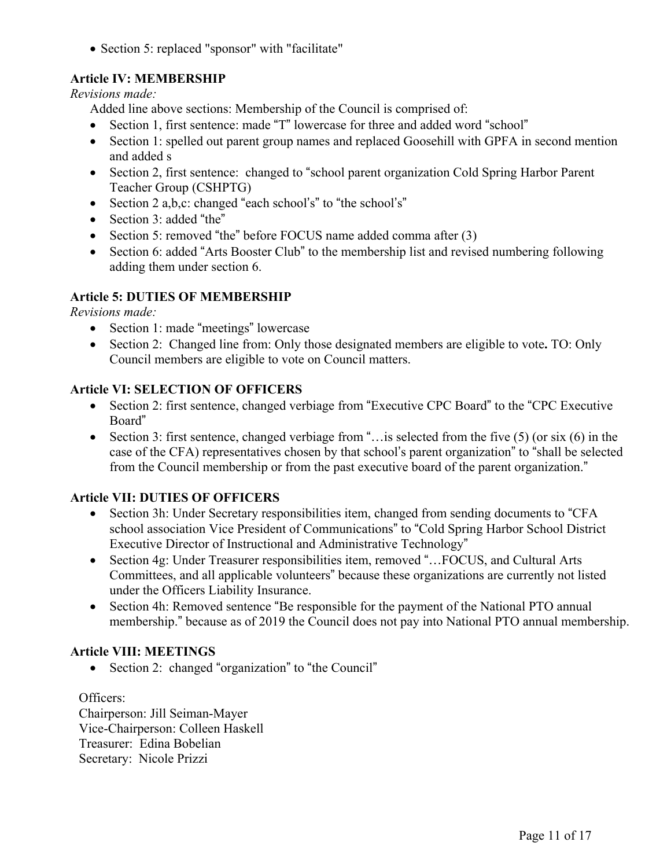• Section 5: replaced "sponsor" with "facilitate"

# **Article IV: MEMBERSHIP**

*Revisions made:* 

Added line above sections: Membership of the Council is comprised of:

- Section 1, first sentence: made "T" lowercase for three and added word "school"
- Section 1: spelled out parent group names and replaced Goosehill with GPFA in second mention and added s
- Section 2, first sentence: changed to "school parent organization Cold Spring Harbor Parent Teacher Group (CSHPTG)
- Section 2 a,b,c: changed "each school's" to "the school's"
- Section 3: added "the"
- Section 5: removed "the" before FOCUS name added comma after (3)
- Section 6: added "Arts Booster Club" to the membership list and revised numbering following adding them under section 6.

# **Article 5: DUTIES OF MEMBERSHIP**

*Revisions made:* 

- Section 1: made "meetings" lowercase
- Section 2: Changed line from: Only those designated members are eligible to vote**.** TO: Only Council members are eligible to vote on Council matters.

# **Article VI: SELECTION OF OFFICERS**

- Section 2: first sentence, changed verbiage from "Executive CPC Board" to the "CPC Executive Board"
- Section 3: first sentence, changed verbiage from "... is selected from the five  $(5)$  (or six  $(6)$  in the case of the CFA) representatives chosen by that school's parent organization" to "shall be selected from the Council membership or from the past executive board of the parent organization."

# **Article VII: DUTIES OF OFFICERS**

- Section 3h: Under Secretary responsibilities item, changed from sending documents to "CFA" school association Vice President of Communications" to "Cold Spring Harbor School District Executive Director of Instructional and Administrative Technology"
- Section 4g: Under Treasurer responsibilities item, removed "...FOCUS, and Cultural Arts Committees, and all applicable volunteers" because these organizations are currently not listed under the Officers Liability Insurance.
- Section 4h: Removed sentence "Be responsible for the payment of the National PTO annual membership." because as of 2019 the Council does not pay into National PTO annual membership.

# **Article VIII: MEETINGS**

• Section 2: changed "organization" to "the Council"

Officers:

Chairperson: Jill Seiman-Mayer Vice-Chairperson: Colleen Haskell Treasurer: Edina Bobelian Secretary: Nicole Prizzi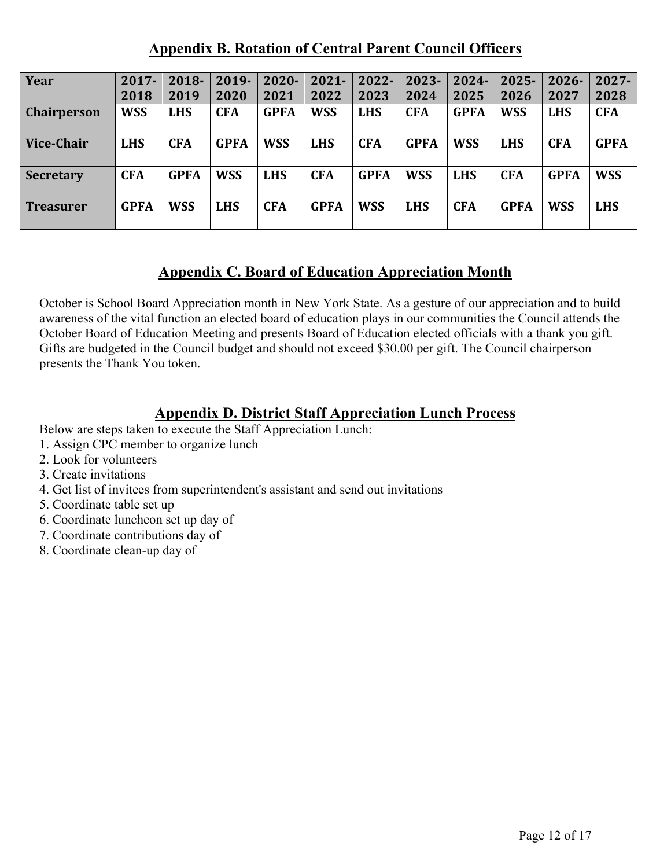# **Appendix B. Rotation of Central Parent Council Officers**

| Year               | $2017 -$    | 2018-       | 2019-       | $2020 -$    | $2021 -$    | 2022-       | 2023-       | $2024 -$    | $2025 -$    | $2026 -$    | $2027 -$    |
|--------------------|-------------|-------------|-------------|-------------|-------------|-------------|-------------|-------------|-------------|-------------|-------------|
|                    | 2018        | 2019        | 2020        | 2021        | 2022        | 2023        | 2024        | 2025        | 2026        | 2027        | 2028        |
| <b>Chairperson</b> | <b>WSS</b>  | <b>LHS</b>  | <b>CFA</b>  | <b>GPFA</b> | <b>WSS</b>  | <b>LHS</b>  | <b>CFA</b>  | <b>GPFA</b> | <b>WSS</b>  | <b>LHS</b>  | <b>CFA</b>  |
| <b>Vice-Chair</b>  | <b>LHS</b>  | <b>CFA</b>  | <b>GPFA</b> | <b>WSS</b>  | <b>LHS</b>  | <b>CFA</b>  | <b>GPFA</b> | <b>WSS</b>  | <b>LHS</b>  | <b>CFA</b>  | <b>GPFA</b> |
| <b>Secretary</b>   | <b>CFA</b>  | <b>GPFA</b> | <b>WSS</b>  | <b>LHS</b>  | <b>CFA</b>  | <b>GPFA</b> | <b>WSS</b>  | <b>LHS</b>  | <b>CFA</b>  | <b>GPFA</b> | <b>WSS</b>  |
| <b>Treasurer</b>   | <b>GPFA</b> | <b>WSS</b>  | <b>LHS</b>  | <b>CFA</b>  | <b>GPFA</b> | <b>WSS</b>  | <b>LHS</b>  | <b>CFA</b>  | <b>GPFA</b> | <b>WSS</b>  | <b>LHS</b>  |

# **Appendix C. Board of Education Appreciation Month**

October is School Board Appreciation month in New York State. As a gesture of our appreciation and to build awareness of the vital function an elected board of education plays in our communities the Council attends the October Board of Education Meeting and presents Board of Education elected officials with a thank you gift. Gifts are budgeted in the Council budget and should not exceed \$30.00 per gift. The Council chairperson presents the Thank You token.

# **Appendix D. District Staff Appreciation Lunch Process**

Below are steps taken to execute the Staff Appreciation Lunch:

- 1. Assign CPC member to organize lunch
- 2. Look for volunteers
- 3. Create invitations
- 4. Get list of invitees from superintendent's assistant and send out invitations
- 5. Coordinate table set up
- 6. Coordinate luncheon set up day of
- 7. Coordinate contributions day of
- 8. Coordinate clean-up day of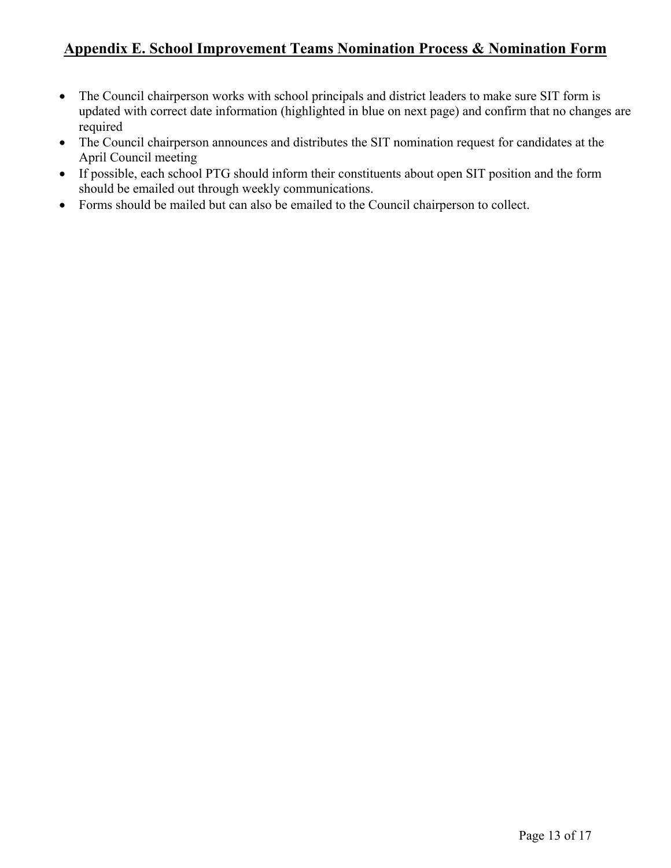# **Appendix E. School Improvement Teams Nomination Process & Nomination Form**

- The Council chairperson works with school principals and district leaders to make sure SIT form is updated with correct date information (highlighted in blue on next page) and confirm that no changes are required
- The Council chairperson announces and distributes the SIT nomination request for candidates at the April Council meeting
- If possible, each school PTG should inform their constituents about open SIT position and the form should be emailed out through weekly communications.
- Forms should be mailed but can also be emailed to the Council chairperson to collect.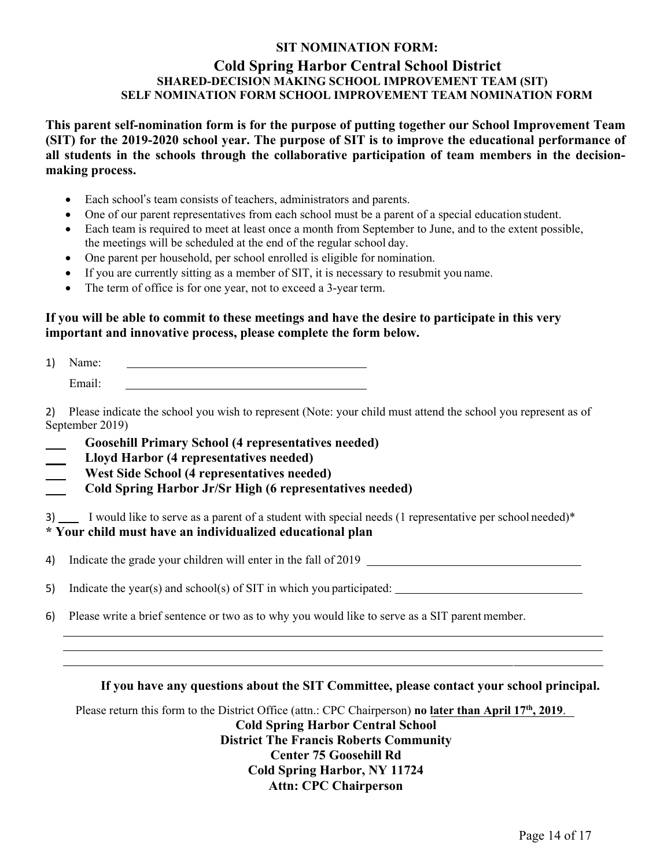## **SIT NOMINATION FORM: Cold Spring Harbor Central School District SHARED-DECISION MAKING SCHOOL IMPROVEMENT TEAM (SIT) SELF NOMINATION FORM SCHOOL IMPROVEMENT TEAM NOMINATION FORM**

**This parent self-nomination form is for the purpose of putting together our School Improvement Team (SIT) for the 2019-2020 school year. The purpose of SIT is to improve the educational performance of all students in the schools through the collaborative participation of team members in the decisionmaking process.** 

- Each school's team consists of teachers, administrators and parents.
- One of our parent representatives from each school must be a parent of a special education student.
- Each team is required to meet at least once a month from September to June, and to the extent possible, the meetings will be scheduled at the end of the regular school day.
- One parent per household, per school enrolled is eligible for nomination.
- If you are currently sitting as a member of SIT, it is necessary to resubmit you name.
- The term of office is for one year, not to exceed a 3-year term.

## **If you will be able to commit to these meetings and have the desire to participate in this very important and innovative process, please complete the form below.**

1) Name: Email:

2) Please indicate the school you wish to represent (Note: your child must attend the school you represent as of September 2019)

- **Goosehill Primary School (4 representatives needed)**
- **Lloyd Harbor (4 representatives needed)**
- **West Side School (4 representatives needed)**
- **Cold Spring Harbor Jr/Sr High (6 representatives needed)**

3) I would like to serve as a parent of a student with special needs (1 representative per school needed)<sup>\*</sup> **\* Your child must have an individualized educational plan** 

4) Indicate the grade your children will enter in the fall of 2019

5) Indicate the year(s) and school(s) of SIT in which you participated:

6) Please write a brief sentence or two as to why you would like to serve as a SIT parent member.

#### **If you have any questions about the SIT Committee, please contact your school principal.**

Please return this form to the District Office (attn.: CPC Chairperson) **no later than April 17th, 2019**.

**Cold Spring Harbor Central School District The Francis Roberts Community Center 75 Goosehill Rd Cold Spring Harbor, NY 11724 Attn: CPC Chairperson**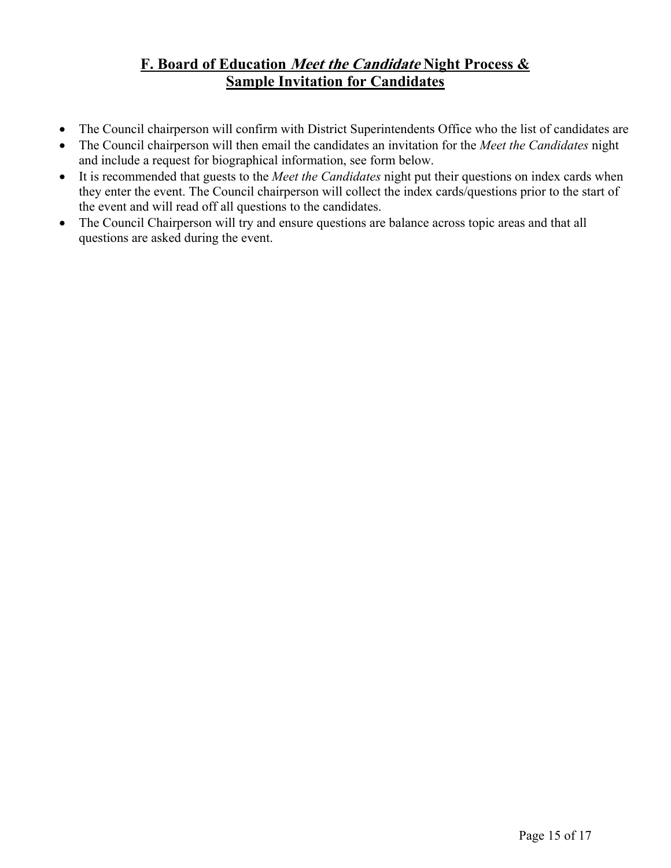# **F. Board of Education Meet the Candidate Night Process & Sample Invitation for Candidates**

- The Council chairperson will confirm with District Superintendents Office who the list of candidates are
- The Council chairperson will then email the candidates an invitation for the *Meet the Candidates* night and include a request for biographical information, see form below.
- It is recommended that guests to the *Meet the Candidates* night put their questions on index cards when they enter the event. The Council chairperson will collect the index cards/questions prior to the start of the event and will read off all questions to the candidates.
- The Council Chairperson will try and ensure questions are balance across topic areas and that all questions are asked during the event.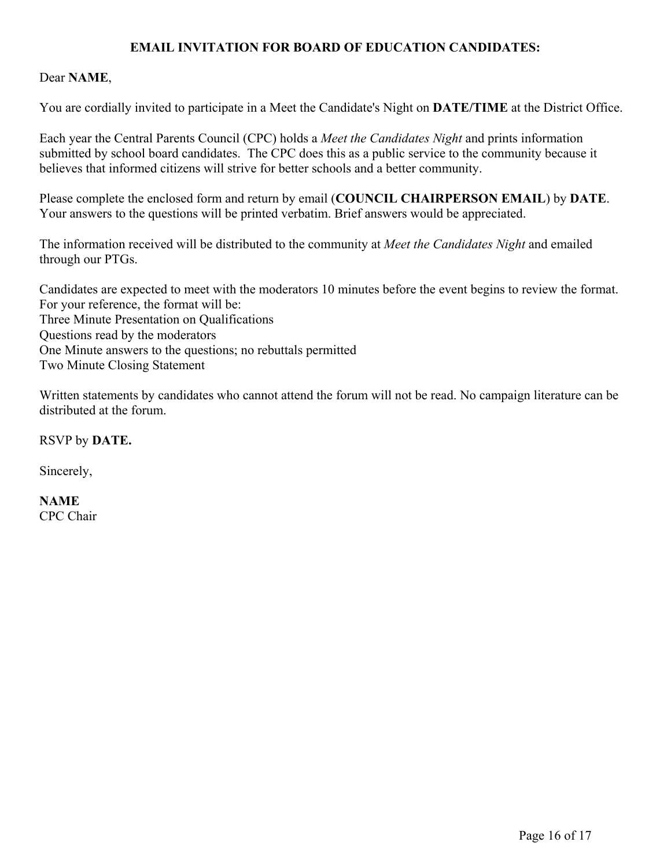# **EMAIL INVITATION FOR BOARD OF EDUCATION CANDIDATES:**

### Dear **NAME**,

You are cordially invited to participate in a Meet the Candidate's Night on **DATE/TIME** at the District Office.

Each year the Central Parents Council (CPC) holds a *Meet the Candidates Night* and prints information submitted by school board candidates. The CPC does this as a public service to the community because it believes that informed citizens will strive for better schools and a better community.

Please complete the enclosed form and return by email (**COUNCIL CHAIRPERSON EMAIL**) by **DATE**. Your answers to the questions will be printed verbatim. Brief answers would be appreciated.

The information received will be distributed to the community at *Meet the Candidates Night* and emailed through our PTGs.

Candidates are expected to meet with the moderators 10 minutes before the event begins to review the format. For your reference, the format will be: Three Minute Presentation on Qualifications Questions read by the moderators One Minute answers to the questions; no rebuttals permitted Two Minute Closing Statement

Written statements by candidates who cannot attend the forum will not be read. No campaign literature can be distributed at the forum.

RSVP by **DATE.**

Sincerely,

**NAME**  CPC Chair